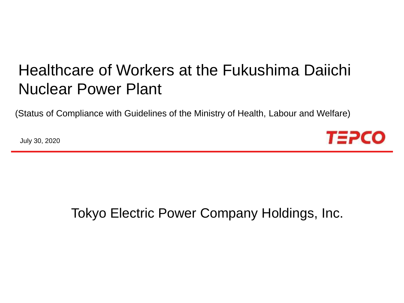# Healthcare of Workers at the Fukushima Daiichi Nuclear Power Plant

(Status of Compliance with Guidelines of the Ministry of Health, Labour and Welfare)

July 30, 2020



## Tokyo Electric Power Company Holdings, Inc.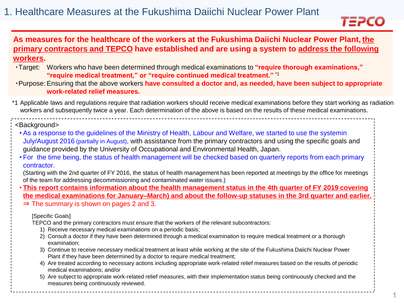

### **As measures for the healthcare of the workers at the Fukushima Daiichi Nuclear Power Plant, the primary contractors and TEPCO have established and are using a system to address the following workers.**

- ・Target: Workers who have been determined through medical examinations to **"require thorough examinations," "require medical treatment," or "require continued medical treatment."** \*1
- ・Purpose: Ensuring that the above workers **have consulted a doctor and, as needed, have been subject to appropriate work-related relief measures.**
- \*1 Applicable laws and regulations require that radiation workers should receive medical examinations before they start working as radiation workers and subsequently twice a year. Each determination of the above is based on the results of these medical examinations.

#### <Background>

- As a response to the guidelines of the Ministry of Health, Labour and Welfare, we started to use the systemin July/August 2016 (partially in August), with assistance from the primary contractors and using the specific goals and guidance provided by the University of Occupational and Environmental Health, Japan.
- For the time being, the status of health management will be checked based on quarterly reports from each primary contractor.

(Starting with the 2nd quarter of FY 2016, the status of health management has been reported at meetings by the office for meetings of the team for addressing decommissioning and contaminated water issues.)

• **This report contains information about the health management status in the 4th quarter of FY 2019 covering the medical examinations for January–March) and about the follow-up statuses in the 3rd quarter and earlier.** ⇒ The summary is shown on pages 2 and 3.

#### [Specific Goals]

TEPCO and the primary contractors must ensure that the workers of the relevant subcontractors:

- 1) Receive necessary medical examinations on a periodic basis;
- 2) Consult a doctor if they have been determined through a medical examination to require medical treatment or a thorough examination;
- 3) Continue to receive necessary medical treatment at least while working at the site of the Fukushima Daiichi Nuclear Power Plant if they have been determined by a doctor to require medical treatment;
- 4) Are treated according to necessary actions including appropriate work-related relief measures based on the results of periodic medical examinations; and/or
- 5) Are subject to appropriate work-related relief measures, with their implementation status being continuously checked and the measures being continuously reviewed.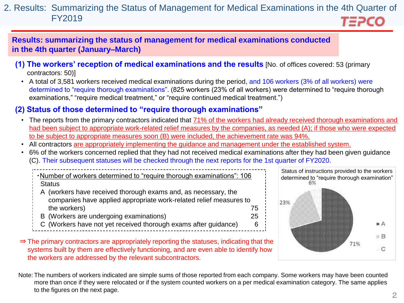#### 2. Results: Summarizing the Status of Management for Medical Examinations in the 4th Quarter of FY2019 *TEPCO*

**Results: summarizing the status of management for medical examinations conducted in the 4th quarter (January–March)**

- **(1) The workers' reception of medical examinations and the results** [No. of offices covered: 53 (primary contractors: 50)]
	- A total of 3,581 workers received medical examinations during the period, and 106 workers (3% of all workers) were determined to "require thorough examinations". (825 workers (23% of all workers) were determined to "require thorough examinations," "require medical treatment," or "require continued medical treatment.")

## **(2) Status of those determined to "require thorough examinations"**

- The reports from the primary contractors indicated that 71% of the workers had already received thorough examinations and had been subject to appropriate work-related relief measures by the companies, as needed (A); if those who were expected to be subject to appropriate measures soon (B) were included, the achievement rate was 94%.
- All contractors are appropriately implementing the guidance and management under the established system.
- 6% of the workers concerned replied that they had not received medical examinations after they had been given guidance (C). Their subsequent statuses will be checked through the next reports for the 1st quarter of FY2020.

・Number of workers determined to "require thorough examinations": 106 **Status** 

- A (workers have received thorough exams and, as necessary, the companies have applied appropriate work-related relief measures to the workers) and the workers of the workers of the workers of the workers of the workers of the workers of the  $75$
- B (Workers are undergoing examinations) 25
- C (Workers have not yet received thorough exams after guidance) 6



⇒ The primary contractors are appropriately reporting the statuses, indicating that the systems built by them are effectively functioning, and are even able to identify how the workers are addressed by the relevant subcontractors.

Note: The numbers of workers indicated are simple sums of those reported from each company. Some workers may have been counted more than once if they were relocated or if the system counted workers on a per medical examination category. The same applies to the figures on the next page.